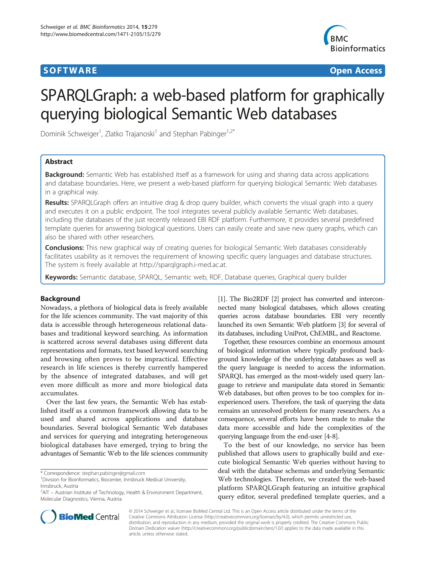# **SOFTWARE SOFTWARE** *CONSERVERSE EXECUTIVE EXECUTIVE EXECUTIVE EXECUTIVE EXECUTIVE EXECUTIVE EXECUTIVE EXECUTIVE EXECUTIVE EXECUTIVE EXECUTIVE EXECUTIVE EXECUTIVE EXECUTIVE EXECUTIVE EXECUTIVE EXECUTIVE EXECUTIVE EXECUT*



# SPARQLGraph: a web-based platform for graphically querying biological Semantic Web databases

Dominik Schweiger<sup>1</sup>, Zlatko Trajanoski<sup>1</sup> and Stephan Pabinger<sup>1,2\*</sup>

# Abstract

**Background:** Semantic Web has established itself as a framework for using and sharing data across applications and database boundaries. Here, we present a web-based platform for querying biological Semantic Web databases in a graphical way.

Results: SPARQLGraph offers an intuitive drag & drop query builder, which converts the visual graph into a query and executes it on a public endpoint. The tool integrates several publicly available Semantic Web databases, including the databases of the just recently released EBI RDF platform. Furthermore, it provides several predefined template queries for answering biological questions. Users can easily create and save new query graphs, which can also be shared with other researchers.

**Conclusions:** This new graphical way of creating queries for biological Semantic Web databases considerably facilitates usability as it removes the requirement of knowing specific query languages and database structures. The system is freely available at [http://sparqlgraph.i-med.ac.at.](http://sparqlgraph.i-med.ac.at)

Keywords: [Semantic database, SPARQL, Semantic web, RDF,](http://sparqlgraph.i-med.ac.at) Database queries, Graphical query builder

# Background

Nowadays, a plethora of biological data is freely available for the life sciences community. The vast majority of this data is accessible through heterogeneous relational databases and traditional keyword searching. As information is scattered across several databases using different data representations and formats, text based keyword searching and browsing often proves to be impractical. Effective research in life sciences is thereby currently hampered by the absence of integrated databases, and will get even more difficult as more and more biological data accumulates.

Over the last few years, the Semantic Web has established itself as a common framework allowing data to be used and shared across applications and database boundaries. Several biological Semantic Web databases and services for querying and integrating heterogeneous biological databases have emerged, trying to bring the advantages of Semantic Web to the life sciences community

[[1](#page-4-0)]. The Bio2RDF [[2](#page-4-0)] project has converted and interconnected many biological databases, which allows creating queries across database boundaries. EBI very recently launched its own Semantic Web platform [\[3\]](#page-4-0) for several of its databases, including UniProt, ChEMBL, and Reactome.

Together, these resources combine an enormous amount of biological information where typically profound background knowledge of the underlying databases as well as the query language is needed to access the information. SPARQL has emerged as the most-widely used query language to retrieve and manipulate data stored in Semantic Web databases, but often proves to be too complex for inexperienced users. Therefore, the task of querying the data remains an unresolved problem for many researchers. As a consequence, several efforts have been made to make the data more accessible and hide the complexities of the querying language from the end-user [\[4](#page-4-0)-[8](#page-4-0)].

To the best of our knowledge, no service has been published that allows users to graphically build and execute biological Semantic Web queries without having to deal with the database schemas and underlying Semantic Web technologies. Therefore, we created the web-based platform SPARQLGraph featuring an intuitive graphical query editor, several predefined template queries, and a



© 2014 Schweiger et al.; licensee BioMed Central Ltd. This is an Open Access article distributed under the terms of the Creative Commons Attribution License ([http://creativecommons.org/licenses/by/4.0\), which permits unrestricted use,](http://creativecommons.org/licenses/by/4.0) [distribution, and reproduction in any medium, provided the original work is properly credited. The Creative Commons Public](http://creativecommons.org/licenses/by/4.0) [Domain Dedication waiver \(http://creativecommons.org/publicdomain/zero/1.0/\) applies to the data made available in this](http://creativecommons.org/publicdomain/zero/1.0/) [article, unless otherwise stated.](http://creativecommons.org/publicdomain/zero/1.0/)

<sup>\*</sup> Correspondence: [stephan.pabinger@gmail.com](mailto:stephan.pabinger@gmail.com) <sup>1</sup>

Division for Bioinformatics, Biocenter, Innsbruck Medical University, Innsbruck, Austria

 $2$ AIT – Austrian Institute of Technology, Health & Environment Department, Molecular Diagnostics, Vienna, Austria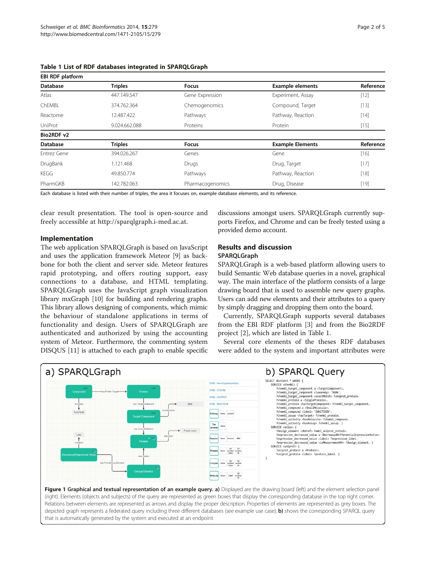| EBI RDF platform   |                |                  |                         |           |  |  |  |
|--------------------|----------------|------------------|-------------------------|-----------|--|--|--|
| <b>Database</b>    | <b>Triples</b> | <b>Focus</b>     | <b>Example elements</b> | Reference |  |  |  |
| Atlas              | 447.149.547    | Gene Expression  | Experiment, Assay       | $[12]$    |  |  |  |
| ChEMBL             | 374.762.364    | Chemogenomics    | Compound, Target        | $[13]$    |  |  |  |
| Reactome           | 12.487.422     | Pathways         | Pathway, Reaction       | $[14]$    |  |  |  |
| UniProt            | 9.024.662.088  | Proteins         | Protein                 | $[15]$    |  |  |  |
| Bio2RDF v2         |                |                  |                         |           |  |  |  |
| <b>Database</b>    | <b>Triples</b> | <b>Focus</b>     | <b>Example Elements</b> | Reference |  |  |  |
| <b>Entrez Gene</b> | 394.026.267    | Genes            | Gene                    | $[16]$    |  |  |  |
| DrugBank           | 1.121.468      | Drugs            | Drug, Target            | $[17]$    |  |  |  |
| KEGG               | 49.850.774     | Pathways         | Pathway, Reaction       | $[18]$    |  |  |  |
| PharmGKB           | 142.782.063    | Pharmacogenomics | Drug, Disease           | $[19]$    |  |  |  |

<span id="page-1-0"></span>Table 1 List of RDF databases integrated in SPARQLGraph

Each database is listed with their number of triples, the area it focuses on, example database elements, and its reference.

clear result presentation. The tool is open-source and freely accessible at [http://sparqlgraph.i-med.ac.at.](http://sparqlgraph.i-med.ac.at)

## Implementation

The web application SPARQLGraph is based on JavaScript and uses the application framework Meteor [[9\]](#page-4-0) as backbone for both the client and server side. Meteor features rapid prototyping, and offers routing support, easy connections to a database, and HTML templating. SPARQLGraph uses the JavaScript graph visualization library mxGraph [[10](#page-4-0)] for building and rendering graphs. This library allows designing of components, which mimic the behaviour of standalone applications in terms of functionality and design. Users of SPARQLGraph are authenticated and authorized by using the accounting system of Meteor. Furthermore, the commenting system DISQUS [\[11\]](#page-4-0) is attached to each graph to enable specific

discussions amongst users. SPARQLGraph currently supports Firefox, and Chrome and can be freely tested using a provided demo account.

## Results and discussion **SPAROLGraph**

SPARQLGraph is a web-based platform allowing users to build Semantic Web database queries in a novel, graphical way. The main interface of the platform consists of a large drawing board that is used to assemble new query graphs. Users can add new elements and their attributes to a query by simply dragging and dropping them onto the board.

Currently, SPARQLGraph supports several databases from the EBI RDF platform [\[3](#page-4-0)] and from the Bio2RDF project [\[2](#page-4-0)], which are listed in Table 1.

Several core elements of the theses RDF databases were added to the system and important attributes were



(right). Elements (objects and subjects) of the query are represented as green boxes that display the corresponding database in the top right corner. Relations between elements are represented as arrows and display the proper description. Properties of elements are represented as grey boxes. The depicted graph represents a federated query including three different databases (see example use case); **b**) shows the corresponding SPARQL query that is automatically generated by the system and executed at an endpoint.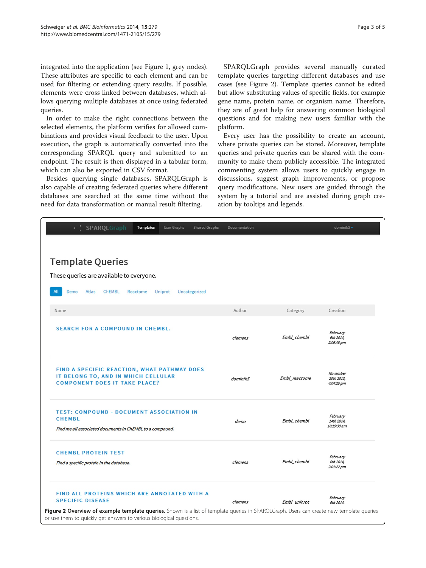integrated into the application (see Figure [1](#page-1-0), grey nodes). These attributes are specific to each element and can be used for filtering or extending query results. If possible, elements were cross linked between databases, which allows querying multiple databases at once using federated queries.

In order to make the right connections between the selected elements, the platform verifies for allowed combinations and provides visual feedback to the user. Upon execution, the graph is automatically converted into the corresponding SPARQL query and submitted to an endpoint. The result is then displayed in a tabular form, which can also be exported in CSV format.

Besides querying single databases, SPARQLGraph is also capable of creating federated queries where different databases are searched at the same time without the need for data transformation or manual result filtering.

SPARQLGraph provides several manually curated template queries targeting different databases and use cases (see Figure 2). Template queries cannot be edited but allow substituting values of specific fields, for example gene name, protein name, or organism name. Therefore, they are of great help for answering common biological questions and for making new users familiar with the platform.

Every user has the possibility to create an account, where private queries can be stored. Moreover, template queries and private queries can be shared with the community to make them publicly accessible. The integrated commenting system allows users to quickly engage in discussions, suggest graph improvements, or propose query modifications. New users are guided through the system by a tutorial and are assisted during graph creation by tooltips and legends.

| <b>Template Queries</b>                                                                                                       |          |               |                                       |  |  |  |
|-------------------------------------------------------------------------------------------------------------------------------|----------|---------------|---------------------------------------|--|--|--|
| These queries are available to everyone.                                                                                      |          |               |                                       |  |  |  |
| All<br>Demo<br>Atlas<br>ChEMBL<br>Reactome<br>Uniprot<br>Uncategorized                                                        |          |               |                                       |  |  |  |
| Name                                                                                                                          | Author   | Category      | Creation                              |  |  |  |
| <b>SEARCH FOR A COMPOUND IN CHEMBL.</b>                                                                                       | clemens  | Embl_chembl   | February<br>6th 2014,<br>2:06:48 pm   |  |  |  |
| FIND A SPECIFIC REACTION, WHAT PATHWAY DOES<br>IT BELONG TO, AND IN WHICH CELLULAR<br><b>COMPONENT DOES IT TAKE PLACE?</b>    | dominikS | Embl_reactome | November<br>20th 2013,<br>4:04:25 pm  |  |  |  |
| <b>TEST: COMPOUND - DOCUMENT ASSOCIATION IN</b><br><b>CHEMBL</b><br>Find me all associated documents in ChEMBL to a compound. | demo     | Embl_chembl   | February<br>14th 2014,<br>10:19:30 am |  |  |  |
| <b>CHEMBL PROTEIN TEST</b><br>Find a specific protein in the database.                                                        | clemens  | Embl_chembl   | February<br>6th 2014,<br>2:01:22 pm   |  |  |  |
| FIND ALL PROTEINS WHICH ARE ANNOTATED WITH A<br><b>SPECIFIC DISEASE</b>                                                       | clemens  | Embl uniprot  | February<br>6th 2014.                 |  |  |  |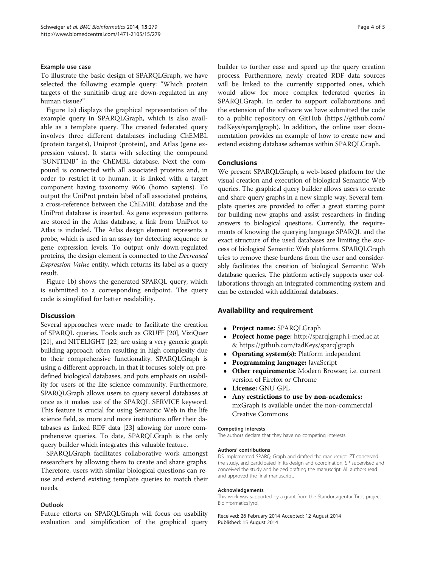#### Example use case

To illustrate the basic design of SPARQLGraph, we have selected the following example query: "Which protein targets of the sunitinib drug are down-regulated in any human tissue?"

Figure [1](#page-1-0)a) displays the graphical representation of the example query in SPARQLGraph, which is also available as a template query. The created federated query involves three different databases including ChEMBL (protein targets), Uniprot (protein), and Atlas (gene expression values). It starts with selecting the compound "SUNITINB" in the ChEMBL database. Next the compound is connected with all associated proteins and, in order to restrict it to human, it is linked with a target component having taxonomy 9606 (homo sapiens). To output the UniProt protein label of all associated proteins, a cross-reference between the ChEMBL database and the UniProt database is inserted. As gene expression patterns are stored in the Atlas database, a link from UniProt to Atlas is included. The Atlas design element represents a probe, which is used in an assay for detecting sequence or gene expression levels. To output only down-regulated proteins, the design element is connected to the Decreased Expression Value entity, which returns its label as a query result.

Figure [1b](#page-1-0)) shows the generated SPARQL query, which is submitted to a corresponding endpoint. The query code is simplified for better readability.

#### **Discussion**

Several approaches were made to facilitate the creation of SPARQL queries. Tools such as GRUFF [\[20](#page-4-0)], ViziQuer [[21](#page-4-0)], and NITELIGHT [[22](#page-4-0)] are using a very generic graph building approach often resulting in high complexity due to their comprehensive functionality. SPARQLGraph is using a different approach, in that it focuses solely on predefined biological databases, and puts emphasis on usability for users of the life science community. Furthermore, SPARQLGraph allows users to query several databases at once as it makes use of the SPARQL SERVICE keyword. This feature is crucial for using Semantic Web in the life science field, as more and more institutions offer their databases as linked RDF data [\[23\]](#page-4-0) allowing for more comprehensive queries. To date, SPARQLGraph is the only query builder which integrates this valuable feature.

SPARQLGraph facilitates collaborative work amongst researchers by allowing them to create and share graphs. Therefore, users with similar biological questions can reuse and extend existing template queries to match their needs.

#### **Outlook**

Future efforts on SPARQLGraph will focus on usability evaluation and simplification of the graphical query builder to further ease and speed up the query creation process. Furthermore, newly created RDF data sources will be linked to the currently supported ones, which would allow for more complex federated queries in SPARQLGraph. In order to support collaborations and the extension of the software we have submitted the code to a public repository on GitHub [\(https://github.com/](https://github.com/tadKeys/sparqlgraph) [tadKeys/sparqlgraph\). In addition, the online user docu](https://github.com/tadKeys/sparqlgraph)[mentation provides an example of how to create new and](https://github.com/tadKeys/sparqlgraph) [extend existing database schemas within SPARQLGraph.](https://github.com/tadKeys/sparqlgraph)

#### Conclusions

We present SPARQLGraph, a web-based platform for the visual creation and execution of biological Semantic Web queries. The graphical query builder allows users to create and share query graphs in a new simple way. Several template queries are provided to offer a great starting point for building new graphs and assist researchers in finding answers to biological questions. Currently, the requirements of knowing the querying language SPARQL and the exact structure of the used databases are limiting the success of biological Semantic Web platforms. SPARQLGraph tries to remove these burdens from the user and considerably facilitates the creation of biological Semantic Web database queries. The platform actively supports user collaborations through an integrated commenting system and can be extended with additional databases.

# Availability and requirement

- Project name: SPARQLGraph
- Project home page: <http://sparqlgraph.i-med.ac.at> [& https://github.com/tadKeys/sparqlgraph](https://github.com/tadKeys/sparqlgraph)
- Operating system(s): Platform independent
- **Programming language:** JavaScript
- Other requirements: Modern Browser, i.e. current version of Firefox or Chrome
- License: GNU GPL
- Any restrictions to use by non-academics: mxGraph is available under the non-commercial Creative Commons

#### Competing interests

The authors declare that they have no competing interests.

#### Authors' contributions

DS implemented SPARQLGraph and drafted the manuscript. ZT conceived the study, and participated in its design and coordination. SP supervised and conceived the study and helped drafting the manuscript. All authors read and approved the final manuscript.

#### Acknowledgements

This work was supported by a grant from the Standortagentur Tirol, project BioinformaticsTyrol.

Received: 26 February 2014 Accepted: 12 August 2014 Published: 15 August 2014